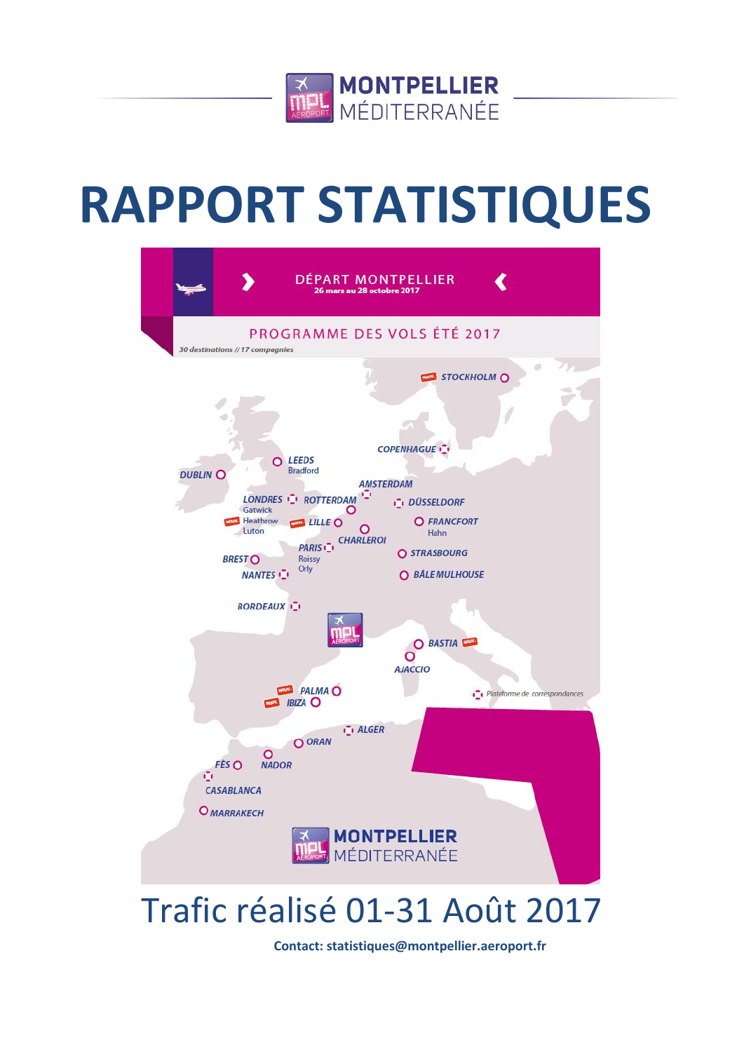

# **RAPPORT STATISTIQUES**



## Trafic réalisé 01-31 Août 2017

**Contact: statistiques@montpellier.aeroport.fr**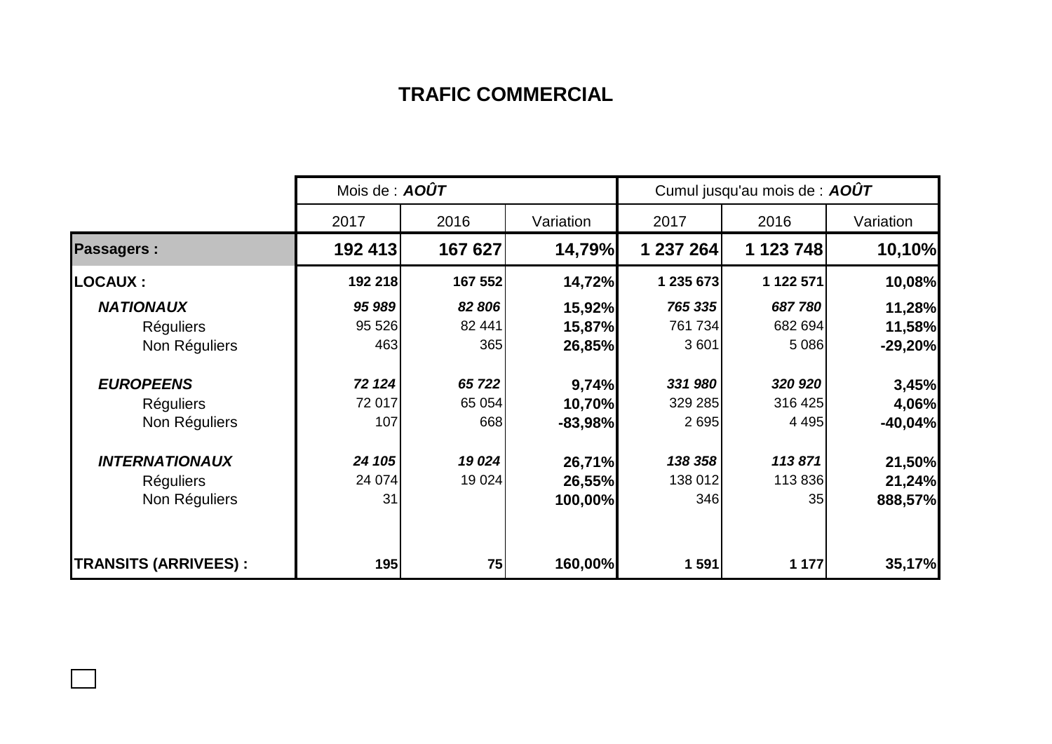## **TRAFIC COMMERCIAL**

|                              | Mois de : $AOÛT$ |         |           | Cumul jusqu'au mois de : AOUT |           |           |  |
|------------------------------|------------------|---------|-----------|-------------------------------|-----------|-----------|--|
|                              | 2017             | 2016    | Variation | 2017                          | 2016      | Variation |  |
| <b>Passagers:</b>            | 192 413          | 167 627 | 14,79%    | 1 237 264                     | 1 123 748 | 10,10%    |  |
| <b>LOCAUX :</b>              | 192 218          | 167 552 | 14,72%    | 1 235 673                     | 1 122 571 | 10,08%    |  |
| <b>NATIONAUX</b>             | 95 989           | 82 806  | 15,92%    | 765 335                       | 687780    | 11,28%    |  |
| <b>Réguliers</b>             | 95 526           | 82 441  | 15,87%    | 761 734                       | 682 694   | 11,58%    |  |
| Non Réguliers                | 463              | 365     | 26,85%    | 3 601                         | 5 0 8 6   | $-29,20%$ |  |
| <b>EUROPEENS</b>             | 72 124           | 65 722  | 9,74%     | 331 980                       | 320 920   | 3,45%     |  |
| <b>Réguliers</b>             | 72 017           | 65 0 54 | 10,70%    | 329 285                       | 316 425   | 4,06%     |  |
| Non Réguliers                | 107              | 668     | $-83,98%$ | 2695                          | 4 4 9 5   | $-40,04%$ |  |
| <b>INTERNATIONAUX</b>        | 24 105           | 19 0 24 | 26,71%    | 138 358                       | 113871    | 21,50%    |  |
| <b>Réguliers</b>             | 24 074           | 19 0 24 | 26,55%    | 138 012                       | 113 836   | 21,24%    |  |
| Non Réguliers                | 31               |         | 100,00%   | 346                           | 35        | 888,57%   |  |
| <b>TRANSITS (ARRIVEES) :</b> | 195              | 75      | 160,00%   | 1 591                         | 1 177     | 35,17%    |  |

 $\Box$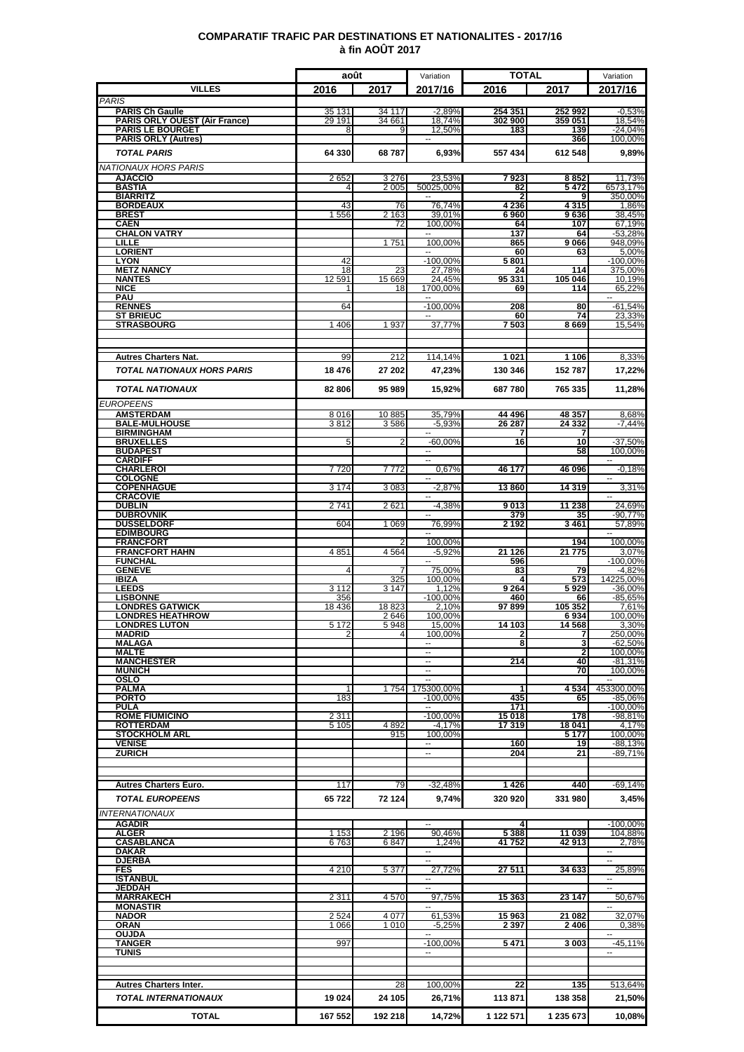### **COMPARATIF TRAFIC PAR DESTINATIONS ET NATIONALITES - 2017/16 à fin AOÛT 2017**

|                                                                | août             |                  | Variation                                            | TOTAL              |                    | Variation                           |
|----------------------------------------------------------------|------------------|------------------|------------------------------------------------------|--------------------|--------------------|-------------------------------------|
| <b>VILLES</b>                                                  | 2016             | 2017             | 2017/16                                              | 2016               | 2017               | 2017/16                             |
| <b>PARIS</b>                                                   |                  |                  |                                                      |                    |                    |                                     |
| <b>PARIS Ch Gaulle</b><br><b>PARIS ORLY OUEST (Air France)</b> | 35 131<br>29 191 | 34 117<br>34 661 | $-2,89%$<br>18,74%                                   | 254 351<br>302 900 | 252 992<br>359 051 | $-0.53%$<br>18,54%                  |
| <b>PARIS LE BOURGET</b>                                        | 8                | 9                | 12,50%                                               | 183                | 139                | $-24,04%$<br>100,00%                |
| <b>PARIS ORLY (Autres)</b><br><b>TOTAL PARIS</b>               | 64 330           | 68787            | 6,93%                                                | 557 434            | 366<br>612 548     | 9,89%                               |
|                                                                |                  |                  |                                                      |                    |                    |                                     |
| NATIONAUX HORS PARIS<br><b>AJACCIO</b>                         | 2652             | 3 2 7 6          | 23,53%                                               | 7923               | 8852               | 11,73%                              |
| <b>BASTIA</b>                                                  | 4                | 2 0 0 5          | 50025,00%                                            | 82                 | 5472               | 6573,17%                            |
| <b>BIARRITZ</b><br><b>BORDEAUX</b>                             | 43               | 76               | 76,74%                                               | 4 2 3 6            | q<br>4315          | 350,00%<br>1,86%                    |
| <b>BREST</b>                                                   | 1556             | 2 1 6 3          | 39,01%                                               | 6960               | 9636               | 38,45%                              |
| CAEN<br><b>CHALON VATRY</b>                                    |                  | 72               | 100,00%                                              | 64<br>137          | 107<br>64          | 67.19%<br>$-53,28%$                 |
| LILLE                                                          |                  | 1751             | 100.00%                                              | 865                | 9066               | 948,09%                             |
| <b>LORIENT</b><br><b>LYON</b>                                  | 42               |                  | $\overline{\phantom{a}}$<br>$-100,00%$               | 60<br>5801         | 63                 | 5,00%<br>$-100,00%$                 |
| <b>METZ NANCY</b>                                              | 18               | 23               | 27.78%                                               | 24                 | 114                | 375.00%                             |
| <b>NANTES</b><br><b>NICE</b>                                   | 12 5 91<br>1     | 15 669<br>18     | 24,45%<br>1700.00%                                   | 95 331<br>69       | 105 046<br>114     | 10,19%<br>65,22%                    |
| <b>PAU</b>                                                     |                  |                  |                                                      |                    |                    |                                     |
| <b>RENNES</b><br><b>ST BRIEUC</b>                              | 64               |                  | $-100,00%$                                           | 208<br>60          | 80<br>74           | $-61,54%$<br>23,33%                 |
| <b>STRASBOURG</b>                                              | 1 406            | 1937             | 37,77%                                               | 7 503              | 8 6 6 9            | 15,54%                              |
|                                                                |                  |                  |                                                      |                    |                    |                                     |
|                                                                |                  |                  |                                                      |                    |                    |                                     |
| <b>Autres Charters Nat.</b>                                    | 99               | 212              | 114,14%                                              | 1021               | 1 1 0 6            | 8,33%                               |
| <b>TOTAL NATIONAUX HORS PARIS</b>                              | 18 476           | 27 202           | 47,23%                                               | 130 346            | 152 787            | 17,22%                              |
| <b>TOTAL NATIONAUX</b>                                         | 82 806           | 95 989           | 15,92%                                               | 687780             | 765 335            | 11,28%                              |
| <b>EUROPEENS</b>                                               |                  |                  |                                                      |                    |                    |                                     |
| <b>AMSTERDAM</b><br><b>BALE-MULHOUSE</b>                       | 8016<br>3812     | 10885            | 35,79%<br>$-5.93%$                                   | 44 496<br>26 287   | 48 357<br>24 332   | 8,68%<br>$-7.44%$                   |
| <b>BIRMINGHAM</b>                                              |                  | 3586             |                                                      |                    |                    |                                     |
| <b>BRUXELLES</b>                                               | 5                | 2                | $-60,00%$                                            | 16                 | 10                 | $-37,50%$                           |
| <b>BUDAPEST</b><br>CARDIFF                                     |                  |                  | $\overline{\phantom{a}}$<br>$\overline{\phantom{a}}$ |                    | 58                 | 100,00%<br>$\overline{\phantom{a}}$ |
| <b>CHARLEROI</b>                                               | 7720             | 7 772            | 0,67%                                                | 46 177             | 46 096             | $-0,18%$                            |
| <b>COLOGNE</b><br><b>COPENHAGUE</b>                            | 3 1 7 4          | 3 0 8 3          | $-2,87%$                                             | 13860              | 14 3 19            | 3,31%                               |
| <b>CRACOVIE</b>                                                |                  |                  |                                                      |                    |                    |                                     |
| <b>DUBLIN</b><br><b>DUBROVNIK</b>                              | 2741             | 2621             | $-4,38%$                                             | 9013<br>379        | 11 238<br>35       | 24,69%<br>$-90,77%$                 |
| <b>DUSSELDORF</b>                                              | 604              | 1 0 6 9          | 76,99%                                               | 2 1 9 2            | 3461               | 57,89%                              |
| <b>EDIMBOURG</b><br><b>FRANCFORT</b>                           |                  |                  | 100,00%                                              |                    | 194                | 100,00%                             |
| <b>FRANCFORT HAHN</b>                                          | 4851             | 4 5 6 4          | $-5,92%$                                             | 21 1 26            | 21 775             | 3,07%                               |
| <b>FUNCHAL</b><br><b>GENEVE</b>                                | 4                | 7                | 75.00%                                               | 596<br>83          | 79                 | $-100,00%$<br>$-4,82%$              |
| <b>IBIZA</b>                                                   |                  | 325              | 100,00%                                              |                    | 573                | 14225,00%                           |
| <b>LEEDS</b><br><b>LISBONNE</b>                                | 3 1 1 2<br>356   | 3 1 4 7          | 1.12%<br>$-100,00%$                                  | 9264<br>460        | 5929<br>66         | -36,00%<br>$-85.65%$                |
| <b>LONDRES GATWICK</b>                                         | 18 4 36          | 18823            | 2,10%                                                | 97899              | 105 352            | 7,61%                               |
| <b>LONDRES HEATHROW</b><br><b>LONDRES LUTON</b>                | 5 1 7 2          | 2646<br>5948     | 100,00%<br>15,00%                                    | 14 103             | 6934<br>14 5 68    | 100,00%<br>3,30%                    |
| <b>MADRID</b>                                                  | 2                | 4                | 100,00%                                              | 2                  | 7                  | 250,00%                             |
| <b>MALAGA</b><br><b>MALTE</b>                                  |                  |                  | $\overline{\phantom{a}}$                             | 8                  | 3<br>$\mathbf{2}$  | $-62,50%$<br>100,00%                |
| <b>MANCHESTER</b>                                              |                  |                  | $\overline{a}$                                       | 214                | 40                 | $-81,31%$                           |
| <b>MUNICH</b><br>OSLO                                          |                  |                  | н.                                                   |                    | 70                 | 100,00%                             |
| PALMA                                                          |                  | 1754             | 175300,00%                                           |                    | 4534               | 453300,00%                          |
| <b>PORTO</b><br><b>PULA</b>                                    | 183              |                  | $-100,00%$<br>$\overline{\phantom{a}}$               | 435<br>171         | 65                 | $-85,06%$<br>$-100,00%$             |
| <b>ROME FIUMICINO</b>                                          | 2 3 1 1          |                  | $-100,00%$                                           | 15 018             | 178                | $-98,81%$                           |
| <b>ROTTERDAM</b><br><b>STOCKHOLM ARL</b>                       | 5 1 0 5          | 4892<br>915      | $-4,17%$<br>100,00%                                  | 17319              | 18 041<br>5 1 7 7  | 4,17%                               |
| <b>VENISE</b>                                                  |                  |                  | $\sim$                                               | 160                | 19                 | 100,00%<br>-88,13%                  |
| <b>ZURICH</b>                                                  |                  |                  | $\overline{\phantom{a}}$                             | 204                | 21                 | $-89,71%$                           |
|                                                                |                  |                  |                                                      |                    |                    |                                     |
| <b>Autres Charters Euro.</b>                                   | 117              | 79               | $-32,48%$                                            | 1426               | 440                | $-69,14%$                           |
| <b>TOTAL EUROPEENS</b>                                         | 65722            | 72 124           | 9,74%                                                | 320 920            | 331 980            | 3,45%                               |
| <b>INTERNATIONAUX</b>                                          |                  |                  |                                                      |                    |                    |                                     |
| <b>AGADIR</b>                                                  |                  |                  | --                                                   |                    |                    | $-100,00%$                          |
| <b>ALGER</b>                                                   | 1 1 5 3          | 2 1 9 6          | 90,46%                                               | 5 3 8 8            | 11 039             | 104,88%                             |
| <b>CASABLANCA</b><br><b>DAKAR</b>                              | 6763             | 6847             | 1.24%                                                | 41752              | 42913              | 2,78%<br>$\sim$                     |
| <u>DJERBA</u>                                                  |                  |                  | $\overline{a}$                                       |                    |                    |                                     |
| <b>FES</b><br><b>ISTANBUL</b>                                  | 4 2 1 0          | 5 3 7 7          | 27,72%<br>$\overline{\phantom{a}}$                   | 27 511             | 34 633             | 25,89%<br>$\sim$                    |
| <b>JEDDAH</b>                                                  |                  |                  | $\overline{a}$                                       |                    |                    | $\overline{\phantom{a}}$            |
| <b>MARRAKECH</b><br><b>MONASTIR</b>                            | 2 3 1 1          | 4570             | 97,75%<br>--                                         | 15 363             | 23 147             | 50,67%<br>$\sim$                    |
| <b>NADOR</b>                                                   | 2 5 2 4          | 4 0 7 7          | 61,53%                                               | 15963              | 21 082             | 32,07%                              |
| ORAN<br><b>OUJDA</b>                                           | 1 0 6 6          | 1 0 1 0          | $-5,25%$                                             | 2 397              | 2406               | 0,38%<br>$\sim$                     |
| <b>TANGER</b>                                                  | 997              |                  | $-100,00%$                                           | 5471               | 3 0 0 3            | $-45,11%$                           |
| TUNIS                                                          |                  |                  | --                                                   |                    |                    | $\sim$                              |
|                                                                |                  |                  |                                                      |                    |                    |                                     |
| <b>Autres Charters Inter.</b>                                  |                  | 28               | 100,00%                                              | 22                 | 135                | 513,64%                             |
| TOTAL INTERNATIONAUX                                           | 19 0 24          | 24 105           | 26,71%                                               | 113871             | 138 358            | 21,50%                              |
| <b>TOTAL</b>                                                   | 167 552          | 192 218          | 14,72%                                               | 1 122 571          | 1 235 673          | 10,08%                              |
|                                                                |                  |                  |                                                      |                    |                    |                                     |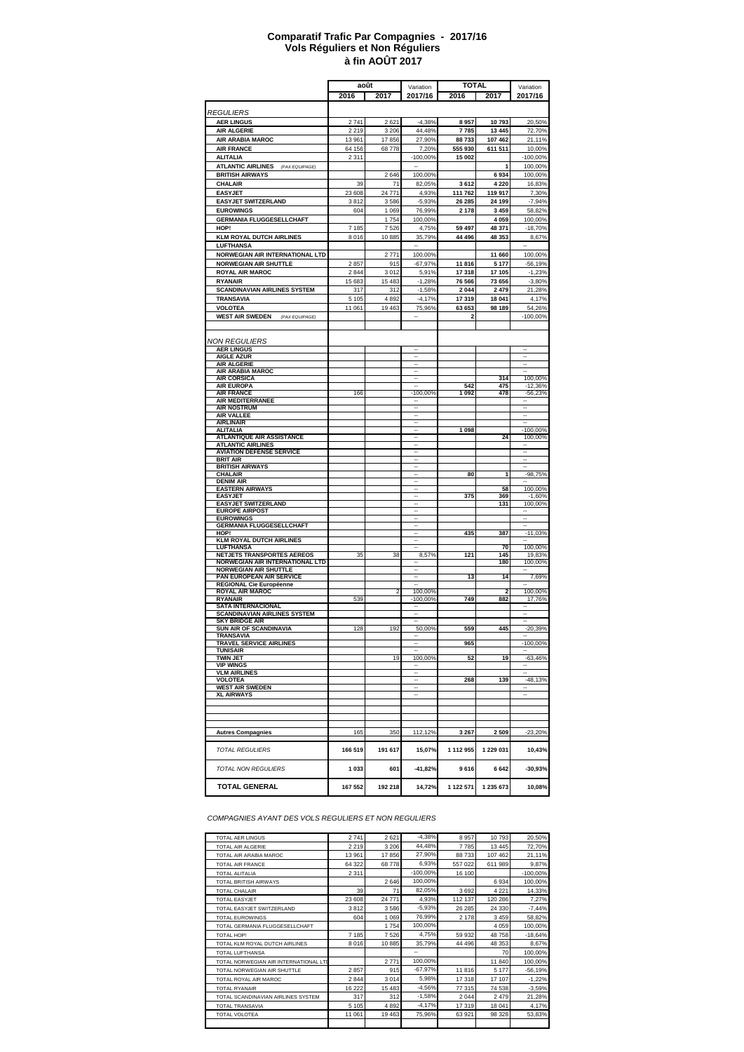#### **à fin AOÛT 2017 Comparatif Trafic Par Compagnies - 2017/16 Vols Réguliers et Non Réguliers**

|                                                               | août          |                | <b>TOTAL</b><br>Variation |                  |                         | Variation                |
|---------------------------------------------------------------|---------------|----------------|---------------------------|------------------|-------------------------|--------------------------|
|                                                               | 2016          | 2017           | 2017/16                   | 2016             | 2017                    | 2017/16                  |
|                                                               |               |                |                           |                  |                         |                          |
| <i>REGULIERS</i>                                              |               |                |                           |                  |                         |                          |
| <b>AER LINGUS</b>                                             | 2741          | 2621           | $-4,38%$                  | 8957             | 10793                   | 20,50%                   |
| <b>AIR ALGERIE</b>                                            | 2 2 1 9       | 3 2 0 6        | 44,48%                    | 7785             | 13 4 45                 | 72,70%                   |
| AIR ARABIA MAROC                                              | 13 961        | 17856          | 27,90%                    | 88 733           | 107 462                 | 21,11%                   |
| <b>AIR FRANCE</b>                                             | 64 156        | 68778          | 7,20%                     | 555 930          | 611 511                 | 10,00%                   |
| <b>ALITALIA</b><br><b>ATLANTIC AIRLINES</b><br>(PAX EQUIPAGE) | 2 3 1 1       |                | -100,00%                  | 15 002           | 1                       | -100,00%<br>100,00%      |
| <b>BRITISH AIRWAYS</b>                                        |               | 2646           | 100,00%                   |                  | 6934                    | 100,00%                  |
| <b>CHALAIR</b>                                                | 39            | 71             | 82,05%                    | 3612             | 4 2 2 0                 | 16,83%                   |
| <b>EASYJET</b>                                                | 23 608        | 24 771         | 4,93%                     | 111 762          | 119 917                 | 7,30%                    |
| <b>EASYJET SWITZERLAND</b>                                    | 3812          | 3586           | $-5.93%$                  | 26 285           | 24 199                  | $-7,94%$                 |
| <b>EUROWINGS</b>                                              | 604           | 1 0 6 9        | 76,99%                    | 2 178            | 3 4 5 9                 | 58,82%                   |
| <b>GERMANIA FLUGGESELLCHAFT</b>                               |               | 1754           | 100,00%                   |                  | 4 0 5 9                 | 100,00%                  |
| HOP!                                                          | 7 185         | 7526           | 4,75%                     | 59 497           | 48 371                  | $-18,70%$                |
| <b>KLM ROYAL DUTCH AIRLINES</b>                               | 8016          | 10885          | 35,79%                    | 44 496           | 48 353                  | 8,67%                    |
| LUFTHANSA                                                     |               |                |                           |                  |                         |                          |
| NORWEGIAN AIR INTERNATIONAL LTD                               |               | 2771           | 100,00%                   |                  | 11 660                  | 100,00%                  |
| <b>NORWEGIAN AIR SHUTTLE</b>                                  | 2857<br>2844  | 915            | $-67,97%$                 | 11816            | 5 1 7 7                 | $-56,19%$<br>$-1,23%$    |
| <b>ROYAL AIR MAROC</b>                                        |               | 3012           | 5,91%                     | 17 318<br>76 566 | 17 105                  |                          |
| <b>RYANAIR</b><br><b>SCANDINAVIAN AIRLINES SYSTEM</b>         | 15 683<br>317 | 15 4 83<br>312 | $-1,28%$<br>$-1,58%$      | 2 0 4 4          | 73 656<br>2 4 7 9       | $-3,80%$<br>21,28%       |
| <b>TRANSAVIA</b>                                              | 5 1 0 5       | 4892           | $-4,17%$                  | 17 319           | 18 041                  | 4,17%                    |
| <b>VOLOTEA</b>                                                | 11 061        | 19 4 63        | 75,96%                    | 63 653           | 98 189                  | 54,26%                   |
| <b>WEST AIR SWEDEN</b><br>(PAX EQUIPAGE)                      |               |                |                           | 2                |                         | $-100,00%$               |
|                                                               |               |                |                           |                  |                         |                          |
|                                                               |               |                |                           |                  |                         |                          |
| NON REGULIERS                                                 |               |                |                           |                  |                         |                          |
| <b>AER LINGUS</b><br><b>AIGLE AZUR</b>                        |               |                |                           |                  |                         |                          |
| <b>AIR ALGERIE</b>                                            |               |                |                           |                  |                         |                          |
| AIR ARABIA MAROC                                              |               |                | $\cdots$                  |                  |                         | $\overline{\phantom{a}}$ |
| <b>AIR CORSICA</b><br><b>AIR EUROPA</b>                       |               |                | $\cdots$                  | 542              | 314<br>475              | 100,00%                  |
| <b>AIR FRANCE</b>                                             | 166           |                | $-100,00%$                | 1 0 9 2          | 478                     | $-12,36%$<br>$-56,23%$   |
| AIR MEDITERRANEE                                              |               |                |                           |                  |                         | ۰.                       |
| <b>AIR NOSTRUM</b>                                            |               |                |                           |                  |                         |                          |
| <b>AIR VALLEE</b><br><b>AIRLINAIR</b>                         |               |                |                           |                  |                         |                          |
| <b>ALITALIA</b>                                               |               |                |                           | 1 0 9 8          |                         | $-100,00%$               |
| <b>ATLANTIQUE AIR ASSISTANCE</b>                              |               |                |                           |                  | 24                      | 100,00%                  |
| <b>ATLANTIC AIRLINES</b>                                      |               |                |                           |                  |                         |                          |
| <b>AVIATION DEFENSE SERVICE</b><br><b>BRIT AIR</b>            |               |                |                           |                  |                         |                          |
| <b>BRITISH AIRWAYS</b>                                        |               |                |                           |                  |                         |                          |
| <b>CHALAIR</b>                                                |               |                |                           | 80               | 1                       | $-98,75%$                |
| <b>DENIM AIR</b><br><b>EASTERN AIRWAYS</b>                    |               |                |                           |                  | 58                      | 100,00%                  |
| <b>EASYJET</b>                                                |               |                |                           | 375              | 369                     | $-1,60%$                 |
| <b>EASYJET SWITZERLAND</b>                                    |               |                |                           |                  | 131                     | 100,00%                  |
| <b>EUROPE AIRPOST</b>                                         |               |                |                           |                  |                         |                          |
| <b>EUROWINGS</b><br><b>GERMANIA FLUGGESELLCHAFT</b>           |               |                | $\overline{\phantom{a}}$  |                  |                         |                          |
| HOP!                                                          |               |                |                           | 435              | 387                     | $-11,03%$                |
| <b>KLM ROYAL DUTCH AIRLINES</b>                               |               |                |                           |                  |                         |                          |
| <b>LUFTHANSA</b><br>NETJETS TRANSPORTES AEREOS                | 35            | 38             | 8,57%                     | 121              | 70<br>145               | 100,00%<br>19,83%        |
| NORWEGIAN AIR INTERNATIONAL LTD                               |               |                |                           |                  | 180                     | 100,00%                  |
| <b>NORWEGIAN AIR SHUTTLE</b>                                  |               |                |                           |                  |                         |                          |
| PAN EUROPEAN AIR SERVICE                                      |               |                | $\overline{\phantom{a}}$  | 13               | 14                      | 7,69%                    |
| REGIONAL Cie Européenne<br><b>ROYAL AIR MAROC</b>             |               | 2              | 100.00%                   |                  | $\overline{\mathbf{2}}$ | 100,00%                  |
| <b>RYANAIR</b>                                                | 539           |                | 100,00%                   | 749              | 882                     | 17,76%                   |
| <b>SATA INTERNACIONAL</b>                                     |               |                |                           |                  |                         |                          |
| <b>SCANDINAVIAN AIRLINES SYSTEM</b><br><b>SKY BRIDGE AIR</b>  |               |                |                           |                  |                         |                          |
| <b>SUN AIR OF SCANDINAVIA</b>                                 | 128           | 192            | 50,00%                    | 559              | 445                     | $-20,39%$                |
| TRANSAVIA                                                     |               |                |                           |                  |                         |                          |
| TRAVEL SERVICE AIRLINES<br>TUNISAIR                           |               |                |                           | 965              |                         | -100,00%                 |
| TWIN JET                                                      |               | 19             | 100,00%                   | 52               | 19                      | $-63,46%$                |
| VIP WINGS                                                     |               |                |                           |                  |                         |                          |
| <b>VLM AIRLINES</b>                                           |               |                |                           |                  |                         |                          |
| <b>VOLOTEA</b><br><b>WEST AIR SWEDEN</b>                      |               |                |                           | 268              | 139                     | $-48,13%$                |
| <b>XL AIRWAYS</b>                                             |               |                |                           |                  |                         |                          |
|                                                               |               |                |                           |                  |                         |                          |
|                                                               |               |                |                           |                  |                         |                          |
|                                                               |               |                |                           |                  |                         |                          |
| <b>Autres Compagnies</b>                                      | 165           | 350            | 112,12%                   | 3 2 6 7          | 2509                    | $-23,20%$                |
|                                                               |               |                |                           |                  |                         |                          |
| <b>TOTAL REGULIERS</b>                                        | 166 519       | 191 617        | 15,07%                    | 1 112 955        | 1 229 031               | 10,43%                   |
|                                                               |               |                |                           |                  |                         |                          |
| <b>TOTAL NON REGULIERS</b>                                    | 1 0 3 3       | 601            | $-41,82%$                 | 9616             | 6642                    | $-30,93%$                |
|                                                               |               |                |                           |                  |                         |                          |
| <b>TOTAL GENERAL</b>                                          | 167 552       | 192 218        | 14,72%                    | 1 122 571        | 1 235 673               | 10,08%                   |
|                                                               |               |                |                           |                  |                         |                          |

*COMPAGNIES AYANT DES VOLS REGULIERS ET NON REGULIERS*

| <b>TOTAL AER LINGUS</b>               | 2741    | 2621    | $-4.38%$    | 8957    | 10793   | 20,50%     |
|---------------------------------------|---------|---------|-------------|---------|---------|------------|
| TOTAL AIR ALGERIE                     | 2 2 1 9 | 3 2 0 6 | 44.48%      | 7785    | 13 4 45 | 72,70%     |
| TOTAL AIR ARABIA MAROC                | 13 961  | 17856   | 27,90%      | 88733   | 107 462 | 21,11%     |
| <b>TOTAL AIR FRANCE</b>               | 64 322  | 68778   | 6,93%       | 557 022 | 611989  | 9,87%      |
| <b>TOTAL ALITALIA</b>                 | 2 3 1 1 |         | $-100.00\%$ | 16 100  |         | $-100,00%$ |
| <b>TOTAL BRITISH AIRWAYS</b>          |         | 2646    | 100.00%     |         | 6 9 3 4 | 100,00%    |
| <b>TOTAL CHALAIR</b>                  | 39      | 71      | 82,05%      | 3692    | 4 2 2 1 | 14,33%     |
| <b>TOTAL EASYJET</b>                  | 23 608  | 24 771  | 4,93%       | 112 137 | 120 286 | 7,27%      |
| TOTAL EASYJET SWITZERLAND             | 3812    | 3586    | $-5,93%$    | 26 28 5 | 24 330  | $-7,44%$   |
| <b>TOTAL EUROWINGS</b>                | 604     | 1 0 6 9 | 76,99%      | 2 1 7 8 | 3 4 5 9 | 58,82%     |
| TOTAL GERMANIA FLUGGESELLCHAFT        |         | 1754    | 100.00%     |         | 4 0 5 9 | 100,00%    |
| TOTAL HOP!                            | 7 185   | 7526    | 4,75%       | 59 932  | 48758   | $-18,64%$  |
| TOTAL KLM ROYAL DUTCH AIRLINES        | 8016    | 10885   | 35,79%      | 44 49 6 | 48 353  | 8,67%      |
| <b>TOTAL LUFTHANSA</b>                |         |         | --          |         | 70      | 100,00%    |
| TOTAL NORWEGIAN AIR INTERNATIONAL LTD |         | 2771    | 100,00%     |         | 11 840  | 100,00%    |
| TOTAL NORWEGIAN AIR SHUTTLE           | 2857    | 915     | $-67,97%$   | 11816   | 5 1 7 7 | $-56,19%$  |
| TOTAL ROYAL AIR MAROC                 | 2844    | 3014    | 5,98%       | 17 318  | 17 107  | $-1,22%$   |
| <b>TOTAL RYANAIR</b>                  | 16 222  | 15 4 83 | $-4,56%$    | 77 315  | 74 538  | $-3,59%$   |
| TOTAL SCANDINAVIAN AIRLINES SYSTEM    | 317     | 312     | $-1,58%$    | 2 0 4 4 | 2479    | 21,28%     |
| <b>TOTAL TRANSAVIA</b>                | 5 1 0 5 | 4892    | $-4.17%$    | 17 319  | 18 041  | 4,17%      |
| <b>TOTAL VOLOTEA</b>                  | 11 061  | 19 4 63 | 75,96%      | 63 921  | 98 328  | 53,83%     |
|                                       |         |         |             |         |         |            |